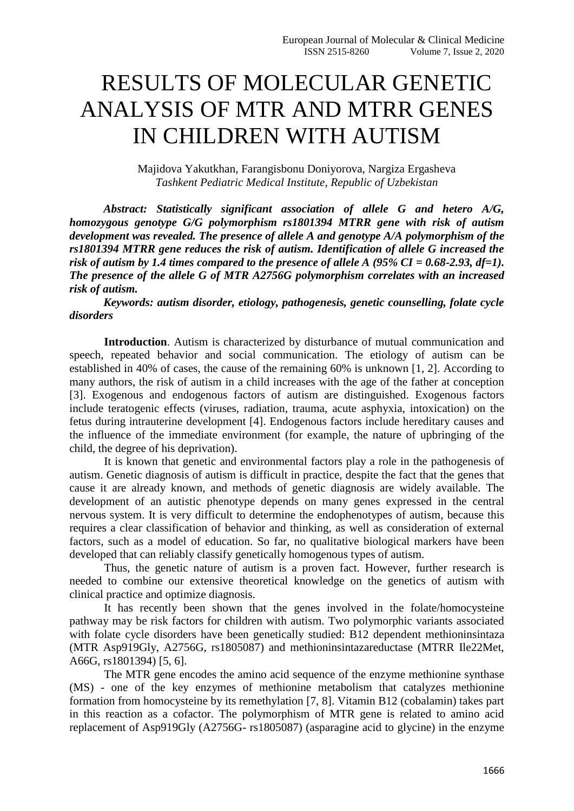## RESULTS OF MOLECULAR GENETIC ANALYSIS OF MTR AND MTRR GENES IN CHILDREN WITH AUTISM

Majidova Yakutkhan, Farangisbonu Doniyorova, Nargiza Ergasheva *Tashkent Pediatric Medical Institute, Republic of Uzbekistan* 

*Abstract: Statistically significant association of allele G and hetero A/G, homozygous genotype G/G polymorphism rs1801394 MTRR gene with risk of autism development was revealed. The presence of allele A and genotype A/A polymorphism of the rs1801394 MTRR gene reduces the risk of autism. Identification of allele G increased the risk of autism by 1.4 times compared to the presence of allele A (95% CI = 0.68-2.93, df=1). The presence of the allele G of MTR A2756G polymorphism correlates with an increased risk of autism.*

*Keywords: autism disorder, etiology, pathogenesis, genetic counselling, folate cycle disorders*

**Introduction**. Autism is characterized by disturbance of mutual communication and speech, repeated behavior and social communication. The etiology of autism can be established in 40% of cases, the cause of the remaining 60% is unknown [1, 2]. According to many authors, the risk of autism in a child increases with the age of the father at conception [3]. Exogenous and endogenous factors of autism are distinguished. Exogenous factors include teratogenic effects (viruses, radiation, trauma, acute asphyxia, intoxication) on the fetus during intrauterine development [4]. Endogenous factors include hereditary causes and the influence of the immediate environment (for example, the nature of upbringing of the child, the degree of his deprivation).

It is known that genetic and environmental factors play a role in the pathogenesis of autism. Genetic diagnosis of autism is difficult in practice, despite the fact that the genes that cause it are already known, and methods of genetic diagnosis are widely available. The development of an autistic phenotype depends on many genes expressed in the central nervous system. It is very difficult to determine the endophenotypes of autism, because this requires a clear classification of behavior and thinking, as well as consideration of external factors, such as a model of education. So far, no qualitative biological markers have been developed that can reliably classify genetically homogenous types of autism.

Thus, the genetic nature of autism is a proven fact. However, further research is needed to combine our extensive theoretical knowledge on the genetics of autism with clinical practice and optimize diagnosis.

It has recently been shown that the genes involved in the folate/homocysteine pathway may be risk factors for children with autism. Two polymorphic variants associated with folate cycle disorders have been genetically studied: B12 dependent methioninsintaza (MTR Asp919Gly, A2756G, rs1805087) and methioninsintazareductase (MTRR Ile22Met, A66G, rs1801394) [5, 6].

The MTR gene encodes the amino acid sequence of the enzyme methionine synthase (MS) - one of the key enzymes of methionine metabolism that catalyzes methionine formation from homocysteine by its remethylation [7, 8]. Vitamin B12 (cobalamin) takes part in this reaction as a cofactor. The polymorphism of MTR gene is related to amino acid replacement of Asp919Gly (A2756G- rs1805087) (asparagine acid to glycine) in the enzyme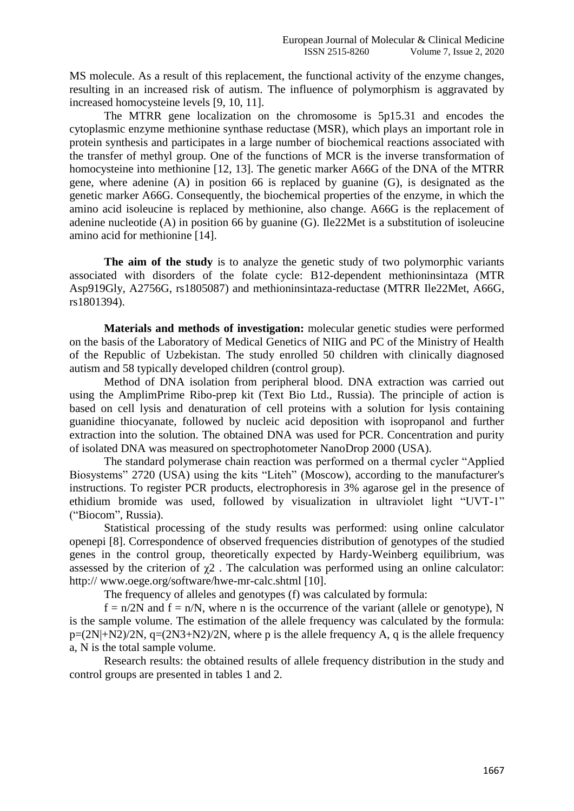MS molecule. As a result of this replacement, the functional activity of the enzyme changes, resulting in an increased risk of autism. The influence of polymorphism is aggravated by increased homocysteine levels [9, 10, 11].

The MTRR gene localization on the chromosome is 5p15.31 and encodes the cytoplasmic enzyme methionine synthase reductase (MSR), which plays an important role in protein synthesis and participates in a large number of biochemical reactions associated with the transfer of methyl group. One of the functions of MCR is the inverse transformation of homocysteine into methionine [12, 13]. The genetic marker A66G of the DNA of the MTRR gene, where adenine (A) in position 66 is replaced by guanine (G), is designated as the genetic marker A66G. Consequently, the biochemical properties of the enzyme, in which the amino acid isoleucine is replaced by methionine, also change. A66G is the replacement of adenine nucleotide (A) in position 66 by guanine (G). Ile22Met is a substitution of isoleucine amino acid for methionine [14].

**The aim of the study** is to analyze the genetic study of two polymorphic variants associated with disorders of the folate cycle: B12-dependent methioninsintaza (MTR Asp919Gly, A2756G, rs1805087) and methioninsintaza-reductase (MTRR Ile22Met, A66G, rs1801394).

**Materials and methods of investigation:** molecular genetic studies were performed on the basis of the Laboratory of Medical Genetics of NIIG and PC of the Ministry of Health of the Republic of Uzbekistan. The study enrolled 50 children with clinically diagnosed autism and 58 typically developed children (control group).

Method of DNA isolation from peripheral blood. DNA extraction was carried out using the AmplimPrime Ribo-prep kit (Text Bio Ltd., Russia). The principle of action is based on cell lysis and denaturation of cell proteins with a solution for lysis containing guanidine thiocyanate, followed by nucleic acid deposition with isopropanol and further extraction into the solution. The obtained DNA was used for PCR. Concentration and purity of isolated DNA was measured on spectrophotometer NanoDrop 2000 (USA).

The standard polymerase chain reaction was performed on a thermal cycler "Applied" Biosystems" 2720 (USA) using the kits "Liteh" (Moscow), according to the manufacturer's instructions. To register PCR products, electrophoresis in 3% agarose gel in the presence of ethidium bromide was used, followed by visualization in ultraviolet light "UVT-1" (―Biocom‖, Russia).

Statistical processing of the study results was performed: using online calculator openepi [8]. Correspondence of observed frequencies distribution of genotypes of the studied genes in the control group, theoretically expected by Hardy-Weinberg equilibrium, was assessed by the criterion of  $\chi$ 2. The calculation was performed using an online calculator: http:// www.oege.org/software/hwe-mr-calc.shtml [10].

The frequency of alleles and genotypes (f) was calculated by formula:

 $f = n/2N$  and  $f = n/N$ , where n is the occurrence of the variant (allele or genotype), N is the sample volume. The estimation of the allele frequency was calculated by the formula:  $p=(2N|+N2)/2N$ ,  $q=(2N3+N2)/2N$ , where p is the allele frequency A, q is the allele frequency a, N is the total sample volume.

Research results: the obtained results of allele frequency distribution in the study and control groups are presented in tables 1 and 2.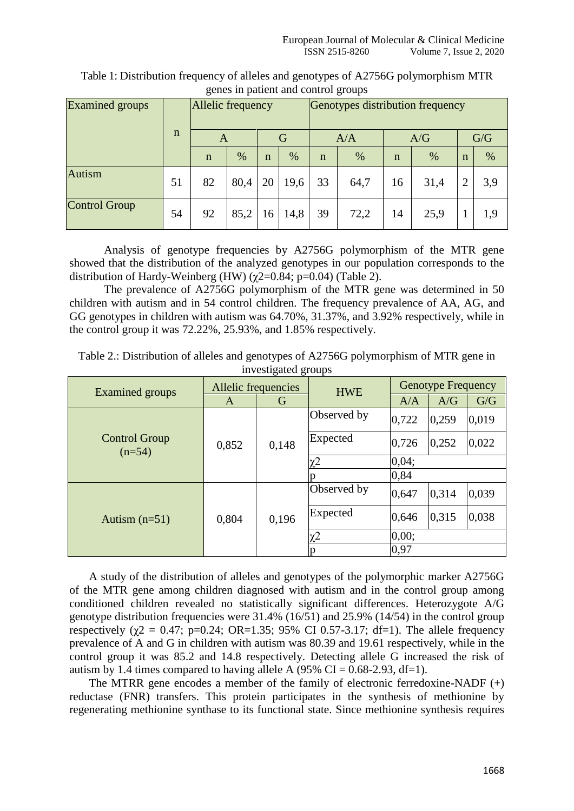| <b>Examined</b> groups |             | Allelic frequency |      |             |      | Genotypes distribution frequency |      |             |      |             |      |
|------------------------|-------------|-------------------|------|-------------|------|----------------------------------|------|-------------|------|-------------|------|
|                        | $\mathbf n$ | A                 |      | G           |      | A/A                              |      | A/G         |      | G/G         |      |
|                        |             | $\mathbf n$       | $\%$ | $\mathbf n$ | $\%$ | $\mathbf n$                      | $\%$ | $\mathbf n$ | $\%$ | $\mathbf n$ | $\%$ |
| Autism                 | 51          | 82                | 80,4 | 20          | 19,6 | 33                               | 64,7 | 16          | 31,4 | റ           | 3,9  |
| <b>Control Group</b>   | 54          | 92                | 85,2 | 16          | 14,8 | 39                               | 72,2 | 14          | 25,9 |             | 1,9  |

Table 1: Distribution frequency of alleles and genotypes of A2756G polymorphism MTR genes in patient and control groups

Analysis of genotype frequencies by A2756G polymorphism of the MTR gene showed that the distribution of the analyzed genotypes in our population corresponds to the distribution of Hardy-Weinberg (HW) ( $\chi$ 2=0.84; p=0.04) (Table 2).

The prevalence of A2756G polymorphism of the MTR gene was determined in 50 children with autism and in 54 control children. The frequency prevalence of AA, AG, and GG genotypes in children with autism was 64.70%, 31.37%, and 3.92% respectively, while in the control group it was 72.22%, 25.93%, and 1.85% respectively.

| mvesugated groups                |       |                     |             |                           |       |       |  |  |  |
|----------------------------------|-------|---------------------|-------------|---------------------------|-------|-------|--|--|--|
| <b>Examined</b> groups           |       | Allelic frequencies | <b>HWE</b>  | <b>Genotype Frequency</b> |       |       |  |  |  |
|                                  | A     | G                   |             | A/A                       | A/G   | G/G   |  |  |  |
| <b>Control Group</b><br>$(n=54)$ | 0,852 | 0,148               | Observed by | 0,722                     | 0,259 | 0,019 |  |  |  |
|                                  |       |                     | Expected    | 0,726                     | 0,252 | 0,022 |  |  |  |
|                                  |       |                     | $\chi^2$    | 0.04;                     |       |       |  |  |  |
|                                  |       |                     |             | 0,84                      |       |       |  |  |  |
|                                  | 0,804 | 0,196               | Observed by | 0,647                     | 0,314 | 0,039 |  |  |  |
| Autism $(n=51)$                  |       |                     | Expected    | 0,646                     | 0,315 | 0,038 |  |  |  |
|                                  |       |                     | $\chi^2$    | 0,00;                     |       |       |  |  |  |
|                                  |       |                     |             | 0,97                      |       |       |  |  |  |

Table 2.: Distribution of alleles and genotypes of A2756G polymorphism of MTR gene in investigated groups

A study of the distribution of alleles and genotypes of the polymorphic marker A2756G of the MTR gene among children diagnosed with autism and in the control group among conditioned children revealed no statistically significant differences. Heterozygote A/G genotype distribution frequencies were 31.4% (16/51) and 25.9% (14/54) in the control group respectively ( $\gamma$ 2 = 0.47; p=0.24; OR=1.35; 95% CI 0.57-3.17; df=1). The allele frequency prevalence of A and G in children with autism was 80.39 and 19.61 respectively, while in the control group it was 85.2 and 14.8 respectively. Detecting allele G increased the risk of autism by 1.4 times compared to having allele A  $(95\% \text{ CI} = 0.68\text{-}2.93, df=1)$ .

The MTRR gene encodes a member of the family of electronic ferredoxine-NADF (+) reductase (FNR) transfers. This protein participates in the synthesis of methionine by regenerating methionine synthase to its functional state. Since methionine synthesis requires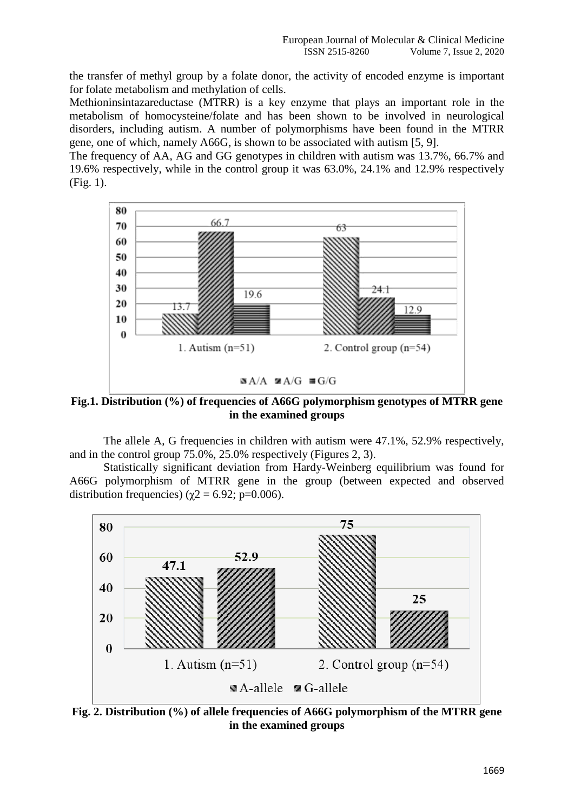the transfer of methyl group by a folate donor, the activity of encoded enzyme is important for folate metabolism and methylation of cells.

Methioninsintazareductase (MTRR) is a key enzyme that plays an important role in the metabolism of homocysteine/folate and has been shown to be involved in neurological disorders, including autism. A number of polymorphisms have been found in the MTRR gene, one of which, namely A66G, is shown to be associated with autism [5, 9].

The frequency of AA, AG and GG genotypes in children with autism was 13.7%, 66.7% and 19.6% respectively, while in the control group it was 63.0%, 24.1% and 12.9% respectively (Fig. 1).



**Fig.1. Distribution (%) of frequencies of A66G polymorphism genotypes of MTRR gene in the examined groups**

The allele A, G frequencies in children with autism were 47.1%, 52.9% respectively, and in the control group 75.0%, 25.0% respectively (Figures 2, 3).

Statistically significant deviation from Hardy-Weinberg equilibrium was found for A66G polymorphism of MTRR gene in the group (between expected and observed distribution frequencies) ( $\gamma$ 2 = 6.92; p=0.006).



**Fig. 2. Distribution (%) of allele frequencies of A66G polymorphism of the MTRR gene in the examined groups**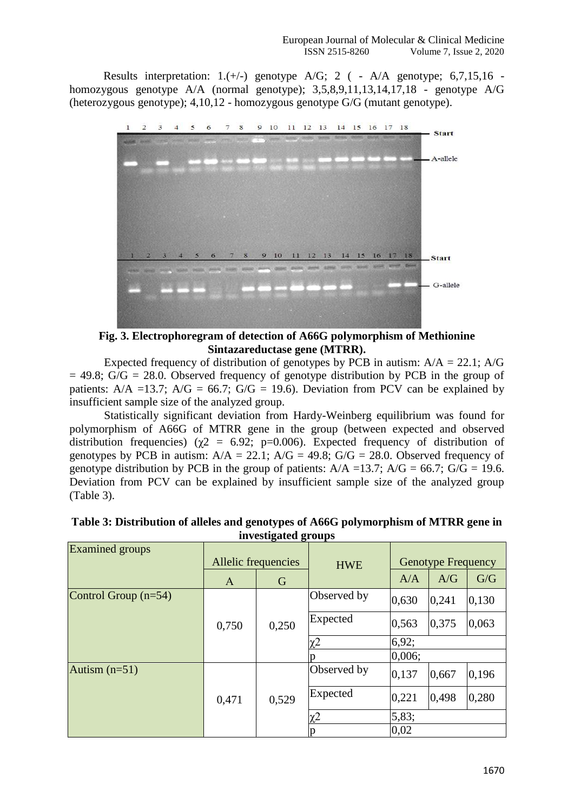Results interpretation:  $1.(+/-)$  genotype A/G; 2 ( - A/A genotype; 6,7,15,16 homozygous genotype A/A (normal genotype); 3,5,8,9,11,13,14,17,18 - genotype A/G (heterozygous genotype); 4,10,12 - homozygous genotype G/G (mutant genotype).



**Fig. 3. Electrophoregram of detection of A66G polymorphism of Methionine Sintazareductase gene (MTRR).**

Expected frequency of distribution of genotypes by PCB in autism:  $A/A = 22.1$ ;  $A/G$  $= 49.8$ ; G/G  $= 28.0$ . Observed frequency of genotype distribution by PCB in the group of patients:  $A/A = 13.7$ ;  $A/G = 66.7$ ;  $G/G = 19.6$ ). Deviation from PCV can be explained by insufficient sample size of the analyzed group.

Statistically significant deviation from Hardy-Weinberg equilibrium was found for polymorphism of A66G of MTRR gene in the group (between expected and observed distribution frequencies) ( $\gamma$ 2 = 6.92; p=0.006). Expected frequency of distribution of genotypes by PCB in autism:  $A/A = 22.1$ ;  $A/G = 49.8$ ;  $G/G = 28.0$ . Observed frequency of genotype distribution by PCB in the group of patients:  $A/A = 13.7$ ;  $A/G = 66.7$ ;  $G/G = 19.6$ . Deviation from PCV can be explained by insufficient sample size of the analyzed group (Table 3).

| <b>Examined</b> groups | Allelic frequencies |       | <b>HWE</b>          | <b>Genotype Frequency</b> |       |       |  |
|------------------------|---------------------|-------|---------------------|---------------------------|-------|-------|--|
|                        | A                   | G     |                     | A/A                       | A/G   | G/G   |  |
| Control Group $(n=54)$ | 0,750               | 0,250 | Observed by         | 0,630                     | 0,241 | 0,130 |  |
|                        |                     |       | Expected            | 0,563                     | 0,375 | 0,063 |  |
|                        |                     |       | $\chi$ <sup>2</sup> | 6,92;                     |       |       |  |
|                        |                     |       |                     | 0,006;                    |       |       |  |
| Autism $(n=51)$        |                     |       | Observed by         | 0,137                     | 0,667 | 0,196 |  |
|                        | 0,471               | 0,529 | Expected            | 0,221                     | 0,498 | 0,280 |  |
|                        |                     |       | <u>χ2</u>           | 5,83;                     |       |       |  |
|                        |                     |       | р                   | 0,02                      |       |       |  |

**Тable 3: Distribution of alleles and genotypes of A66G polymorphism of MTRR gene in investigated groups**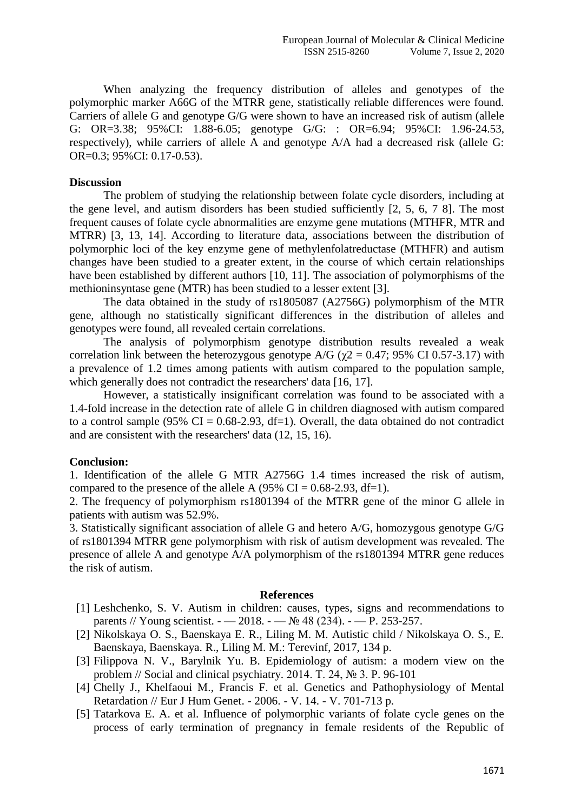When analyzing the frequency distribution of alleles and genotypes of the polymorphic marker A66G of the MTRR gene, statistically reliable differences were found. Carriers of allele G and genotype G/G were shown to have an increased risk of autism (allele G: OR=3.38; 95%CI: 1.88-6.05; genotype G/G: : OR=6.94; 95%CI: 1.96-24.53, respectively), while carriers of allele A and genotype A/A had a decreased risk (allele G: OR=0.3; 95%CI: 0.17-0.53).

## **Discussion**

The problem of studying the relationship between folate cycle disorders, including at the gene level, and autism disorders has been studied sufficiently [2, 5, 6, 7 8]. The most frequent causes of folate cycle abnormalities are enzyme gene mutations (MTHFR, MTR and MTRR) [3, 13, 14]. According to literature data, associations between the distribution of polymorphic loci of the key enzyme gene of methylenfolatreductase (MTHFR) and autism changes have been studied to a greater extent, in the course of which certain relationships have been established by different authors [10, 11]. The association of polymorphisms of the methioninsyntase gene (MTR) has been studied to a lesser extent [3].

The data obtained in the study of rs1805087 (A2756G) polymorphism of the MTR gene, although no statistically significant differences in the distribution of alleles and genotypes were found, all revealed certain correlations.

The analysis of polymorphism genotype distribution results revealed a weak correlation link between the heterozygous genotype A/G ( $\gamma$ 2 = 0.47; 95% CI 0.57-3.17) with a prevalence of 1.2 times among patients with autism compared to the population sample, which generally does not contradict the researchers' data [16, 17].

However, a statistically insignificant correlation was found to be associated with a 1.4-fold increase in the detection rate of allele G in children diagnosed with autism compared to a control sample (95% CI =  $0.68-2.93$ , df=1). Overall, the data obtained do not contradict and are consistent with the researchers' data (12, 15, 16).

## **Conclusion:**

1. Identification of the allele G MTR A2756G 1.4 times increased the risk of autism, compared to the presence of the allele A (95% CI =  $0.68-2.93$ , df=1).

2. The frequency of polymorphism rs1801394 of the MTRR gene of the minor G allele in patients with autism was 52.9%.

3. Statistically significant association of allele G and hetero A/G, homozygous genotype G/G of rs1801394 MTRR gene polymorphism with risk of autism development was revealed. The presence of allele A and genotype A/A polymorphism of the rs1801394 MTRR gene reduces the risk of autism.

## **References**

- [1] Leshchenko, S. V. Autism in children: causes, types, signs and recommendations to parents // Young scientist.  $-2018. - N_2 48 (234). - P. 253-257.$
- [2] Nikolskaya O. S., Baenskaya E. R., Liling M. M. Autistic child / Nikolskaya O. S., E. Baenskaya, Baenskaya. R., Liling M. M.: Terevinf, 2017, 134 p.
- [3] Filippova N. V., Barylnik Yu. B. Epidemiology of autism: a modern view on the problem // Social and clinical psychiatry. 2014. Т. 24, № 3. P. 96-101
- [4] Chelly J., Khelfaoui M., Francis F. et al. Genetics and Pathophysiology of Mental Retardation // Eur J Hum Genet. - 2006. - V. 14. - V. 701-713 p.
- [5] Tatarkova E. A. et al. Influence of polymorphic variants of folate cycle genes on the process of early termination of pregnancy in female residents of the Republic of